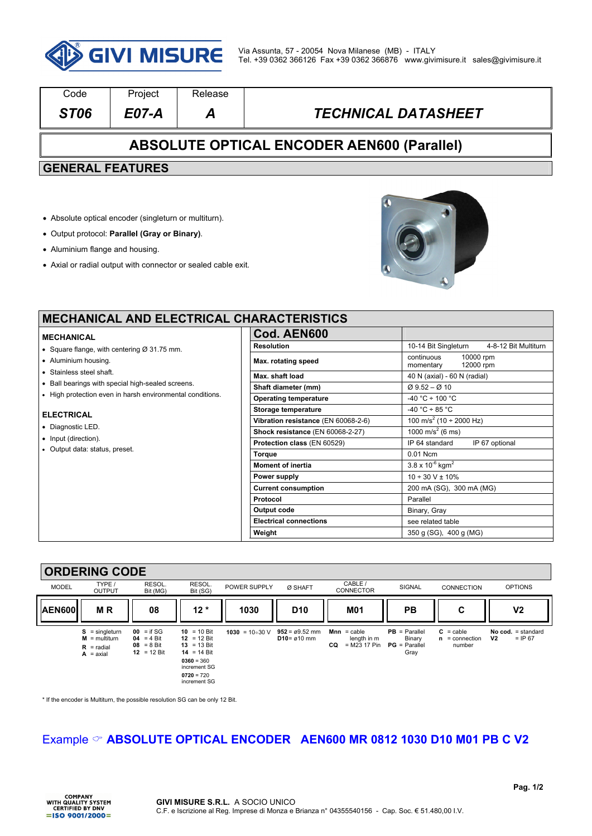

| Code                                              | Project | Release |                            |  |  |  |  |
|---------------------------------------------------|---------|---------|----------------------------|--|--|--|--|
| ST <sub>06</sub>                                  | E07-A   | А       | <b>TECHNICAL DATASHEET</b> |  |  |  |  |
| <b>ABSOLUTE OPTICAL ENCODER AEN600 (Parallel)</b> |         |         |                            |  |  |  |  |
| <b>GENERAL FEATURES</b>                           |         |         |                            |  |  |  |  |
|                                                   |         |         |                            |  |  |  |  |

- Absolute optical encoder (singleturn or multiturn).
- Output protocol: **Parallel (Gray or Binary)**.
- Aluminium flange and housing.
- Axial or radial output with connector or sealed cable exit.



## **MECHANICAL AND ELECTRICAL CH**

#### **MECHANICAL**

- Square flange, with centering Ø 31.75 mm.
- Aluminium housing.
- Stainless steel shaft.
- Ball bearings with special high-sealed screens.
- High protection even in harsh environmental conditions.

#### **ELECTRICAL**

- Diagnostic LED.
- Input (direction).
- Output data: status, preset.

| <b>IARACTERISTICS</b>               |                                                   |  |  |  |  |  |
|-------------------------------------|---------------------------------------------------|--|--|--|--|--|
| Cod. AEN600                         |                                                   |  |  |  |  |  |
| <b>Resolution</b>                   | 10-14 Bit Singleturn<br>4-8-12 Bit Multiturn      |  |  |  |  |  |
| Max. rotating speed                 | continuous<br>10000 rpm<br>12000 rpm<br>momentary |  |  |  |  |  |
| Max. shaft load                     | 40 N (axial) - 60 N (radial)                      |  |  |  |  |  |
| Shaft diameter (mm)                 | $\varnothing$ 9.52 – $\varnothing$ 10             |  |  |  |  |  |
| <b>Operating temperature</b>        | $-40 °C \div 100 °C$                              |  |  |  |  |  |
| <b>Storage temperature</b>          | $-40 °C \div 85 °C$                               |  |  |  |  |  |
| Vibration resistance (EN 60068-2-6) | 100 m/s <sup>2</sup> (10 ÷ 2000 Hz)               |  |  |  |  |  |
| Shock resistance (EN 60068-2-27)    | 1000 m/s <sup>2</sup> (6 ms)                      |  |  |  |  |  |
| Protection class (EN 60529)         | IP 64 standard<br>IP 67 optional                  |  |  |  |  |  |
| <b>Torque</b>                       | 0.01 Ncm                                          |  |  |  |  |  |
| <b>Moment of inertia</b>            | $3.8 \times 10^{-6}$ kgm <sup>2</sup>             |  |  |  |  |  |
| Power supply                        | $10 \div 30 \text{ V} \pm 10\%$                   |  |  |  |  |  |
| <b>Current consumption</b>          | 200 mA (SG), 300 mA (MG)                          |  |  |  |  |  |
| Protocol                            | Parallel                                          |  |  |  |  |  |
| Output code                         | Binary, Gray                                      |  |  |  |  |  |
| <b>Electrical connections</b>       | see related table                                 |  |  |  |  |  |
| Weight                              | 350 g (SG), 400 g (MG)                            |  |  |  |  |  |

### **ORDERING CODE**

|               | .                                                                         |                                                                     |                                                                                                                            |                       |                                                      |                                                              |                                                      |                                                  |                                                     |
|---------------|---------------------------------------------------------------------------|---------------------------------------------------------------------|----------------------------------------------------------------------------------------------------------------------------|-----------------------|------------------------------------------------------|--------------------------------------------------------------|------------------------------------------------------|--------------------------------------------------|-----------------------------------------------------|
| <b>MODEL</b>  | TYPE /<br><b>OUTPUT</b>                                                   | RESOL.<br>Bit (MG)                                                  | RESOL.<br>Bit (SG)                                                                                                         | POWER SUPPLY          | Ø SHAFT                                              | CABLE /<br><b>CONNECTOR</b>                                  | SIGNAL                                               | <b>CONNECTION</b>                                | <b>OPTIONS</b>                                      |
| <b>AEN600</b> | <b>MR</b>                                                                 | 08                                                                  | $12*$                                                                                                                      | 1030                  | D <sub>10</sub>                                      | <b>M01</b>                                                   | PВ                                                   | С                                                | V <sub>2</sub>                                      |
|               | $S =$ singleturn<br>$M = \text{multiturn}$<br>$R =$ radial<br>$A = axial$ | $00 = if SG$<br>$04 = 4 \text{ Bit}$<br>$08 = 8$ Bit<br>12 = 12 Bit | 10 = 10 Bit<br>12 = 12 Bit<br>$13 = 13$ Bit<br>14 = 14 Bit<br>$0360 = 360$<br>increment SG<br>$0720 = 720$<br>increment SG | $1030 = 10 \div 30$ V | $952 = \emptyset 9.52$ mm<br>$D10 = \emptyset 10$ mm | $Mnn = cable$<br>length in m<br>$= M23 17 P$ in<br><b>CO</b> | $PB = Parallel$<br>Binary<br>$PG = Parallel$<br>Gray | $C = \text{cable}$<br>$n =$ connection<br>number | No cod. $=$ standard<br>V <sub>2</sub><br>$=$ IP 67 |

\* If the encoder is Multiturn, the possible resolution SG can be only 12 Bit.

## Example & **ABSOLUTE OPTICAL ENCODER AEN600 MR 0812 1030 D10 M01 PB C V2**